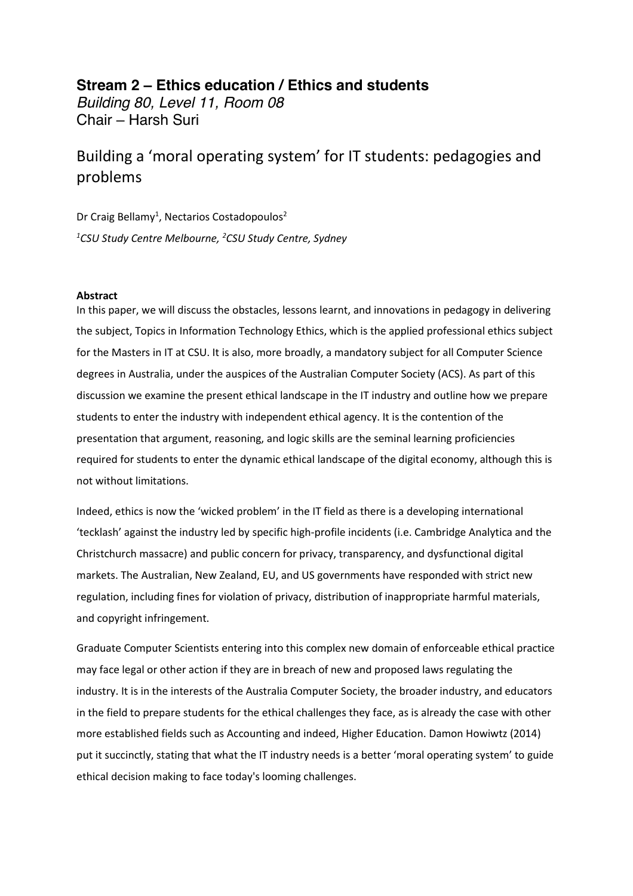## **Stream 2 – Ethics education / Ethics and students** *Building 80, Level 11, Room 08*  Chair – Harsh Suri

## Building a 'moral operating system' for IT students: pedagogies and problems

Dr Craig Bellamy<sup>1</sup>, Nectarios Costadopoulos<sup>2</sup> *1 CSU Study Centre Melbourne, 2 CSU Study Centre, Sydney* 

## **Abstract**

In this paper, we will discuss the obstacles, lessons learnt, and innovations in pedagogy in delivering the subject, Topics in Information Technology Ethics, which is the applied professional ethics subject for the Masters in IT at CSU. It is also, more broadly, a mandatory subject for all Computer Science degrees in Australia, under the auspices of the Australian Computer Society (ACS). As part of this discussion we examine the present ethical landscape in the IT industry and outline how we prepare students to enter the industry with independent ethical agency. It is the contention of the presentation that argument, reasoning, and logic skills are the seminal learning proficiencies required for students to enter the dynamic ethical landscape of the digital economy, although this is not without limitations.

Indeed, ethics is now the 'wicked problem' in the IT field as there is a developing international 'tecklash' against the industry led by specific high-profile incidents (i.e. Cambridge Analytica and the Christchurch massacre) and public concern for privacy, transparency, and dysfunctional digital markets. The Australian, New Zealand, EU, and US governments have responded with strict new regulation, including fines for violation of privacy, distribution of inappropriate harmful materials, and copyright infringement.

Graduate Computer Scientists entering into this complex new domain of enforceable ethical practice may face legal or other action if they are in breach of new and proposed laws regulating the industry. It is in the interests of the Australia Computer Society, the broader industry, and educators in the field to prepare students for the ethical challenges they face, as is already the case with other more established fields such as Accounting and indeed, Higher Education. Damon Howiwtz (2014) put it succinctly, stating that what the IT industry needs is a better 'moral operating system' to guide ethical decision making to face today's looming challenges.